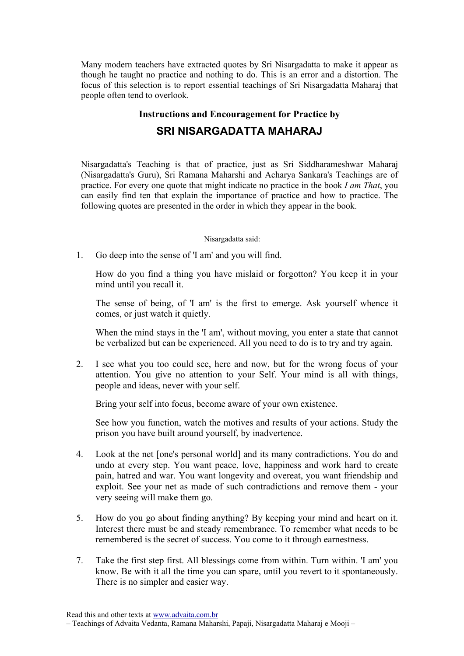Many modern teachers have extracted quotes by Sri Nisargadatta to make it appear as though he taught no practice and nothing to do. This is an error and a distortion. The focus of this selection is to report essential teachings of Sri Nisargadatta Maharaj that people often tend to overlook.

## Instructions and Encouragement for Practice by

## SRI NISARGADATTA MAHARAJ

Nisargadatta's Teaching is that of practice, just as Sri Siddharameshwar Maharaj (Nisargadatta's Guru), Sri Ramana Maharshi and Acharya Sankara's Teachings are of practice. For every one quote that might indicate no practice in the book I am That, you can easily find ten that explain the importance of practice and how to practice. The following quotes are presented in the order in which they appear in the book.

## Nisargadatta said:

1. Go deep into the sense of 'I am' and you will find.

How do you find a thing you have mislaid or forgotton? You keep it in your mind until you recall it.

The sense of being, of 'I am' is the first to emerge. Ask yourself whence it comes, or just watch it quietly.

When the mind stays in the 'I am', without moving, you enter a state that cannot be verbalized but can be experienced. All you need to do is to try and try again.

2. I see what you too could see, here and now, but for the wrong focus of your attention. You give no attention to your Self. Your mind is all with things, people and ideas, never with your self.

Bring your self into focus, become aware of your own existence.

See how you function, watch the motives and results of your actions. Study the prison you have built around yourself, by inadvertence.

- 4. Look at the net [one's personal world] and its many contradictions. You do and undo at every step. You want peace, love, happiness and work hard to create pain, hatred and war. You want longevity and overeat, you want friendship and exploit. See your net as made of such contradictions and remove them - your very seeing will make them go.
- 5. How do you go about finding anything? By keeping your mind and heart on it. Interest there must be and steady remembrance. To remember what needs to be remembered is the secret of success. You come to it through earnestness.
- 7. Take the first step first. All blessings come from within. Turn within. 'I am' you know. Be with it all the time you can spare, until you revert to it spontaneously. There is no simpler and easier way.

<sup>–</sup> Teachings of Advaita Vedanta, Ramana Maharshi, Papaji, Nisargadatta Maharaj e Mooji –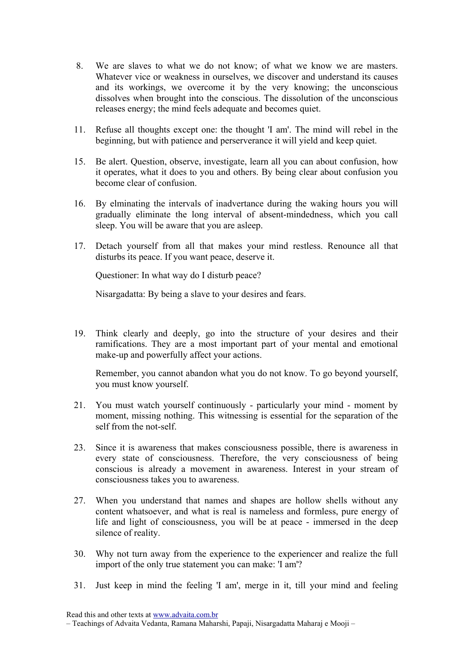- 8. We are slaves to what we do not know; of what we know we are masters. Whatever vice or weakness in ourselves, we discover and understand its causes and its workings, we overcome it by the very knowing; the unconscious dissolves when brought into the conscious. The dissolution of the unconscious releases energy; the mind feels adequate and becomes quiet.
- 11. Refuse all thoughts except one: the thought 'I am'. The mind will rebel in the beginning, but with patience and perserverance it will yield and keep quiet.
- 15. Be alert. Question, observe, investigate, learn all you can about confusion, how it operates, what it does to you and others. By being clear about confusion you become clear of confusion.
- 16. By elminating the intervals of inadvertance during the waking hours you will gradually eliminate the long interval of absent-mindedness, which you call sleep. You will be aware that you are asleep.
- 17. Detach yourself from all that makes your mind restless. Renounce all that disturbs its peace. If you want peace, deserve it.

Questioner: In what way do I disturb peace?

Nisargadatta: By being a slave to your desires and fears.

19. Think clearly and deeply, go into the structure of your desires and their ramifications. They are a most important part of your mental and emotional make-up and powerfully affect your actions.

Remember, you cannot abandon what you do not know. To go beyond yourself, you must know yourself.

- 21. You must watch yourself continuously particularly your mind moment by moment, missing nothing. This witnessing is essential for the separation of the self from the not-self.
- 23. Since it is awareness that makes consciousness possible, there is awareness in every state of consciousness. Therefore, the very consciousness of being conscious is already a movement in awareness. Interest in your stream of consciousness takes you to awareness.
- 27. When you understand that names and shapes are hollow shells without any content whatsoever, and what is real is nameless and formless, pure energy of life and light of consciousness, you will be at peace - immersed in the deep silence of reality.
- 30. Why not turn away from the experience to the experiencer and realize the full import of the only true statement you can make: 'I am'?
- 31. Just keep in mind the feeling 'I am', merge in it, till your mind and feeling

<sup>–</sup> Teachings of Advaita Vedanta, Ramana Maharshi, Papaji, Nisargadatta Maharaj e Mooji –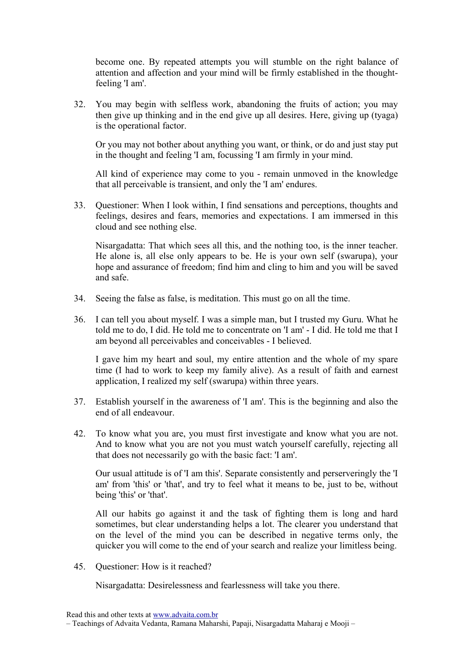become one. By repeated attempts you will stumble on the right balance of attention and affection and your mind will be firmly established in the thoughtfeeling 'I am'.

32. You may begin with selfless work, abandoning the fruits of action; you may then give up thinking and in the end give up all desires. Here, giving up (tyaga) is the operational factor.

Or you may not bother about anything you want, or think, or do and just stay put in the thought and feeling 'I am, focussing 'I am firmly in your mind.

All kind of experience may come to you - remain unmoved in the knowledge that all perceivable is transient, and only the 'I am' endures.

33. Questioner: When I look within, I find sensations and perceptions, thoughts and feelings, desires and fears, memories and expectations. I am immersed in this cloud and see nothing else.

Nisargadatta: That which sees all this, and the nothing too, is the inner teacher. He alone is, all else only appears to be. He is your own self (swarupa), your hope and assurance of freedom; find him and cling to him and you will be saved and safe.

- 34. Seeing the false as false, is meditation. This must go on all the time.
- 36. I can tell you about myself. I was a simple man, but I trusted my Guru. What he told me to do, I did. He told me to concentrate on 'I am' - I did. He told me that I am beyond all perceivables and conceivables - I believed.

I gave him my heart and soul, my entire attention and the whole of my spare time (I had to work to keep my family alive). As a result of faith and earnest application, I realized my self (swarupa) within three years.

- 37. Establish yourself in the awareness of 'I am'. This is the beginning and also the end of all endeavour.
- 42. To know what you are, you must first investigate and know what you are not. And to know what you are not you must watch yourself carefully, rejecting all that does not necessarily go with the basic fact: 'I am'.

Our usual attitude is of 'I am this'. Separate consistently and perserveringly the 'I am' from 'this' or 'that', and try to feel what it means to be, just to be, without being 'this' or 'that'.

All our habits go against it and the task of fighting them is long and hard sometimes, but clear understanding helps a lot. The clearer you understand that on the level of the mind you can be described in negative terms only, the quicker you will come to the end of your search and realize your limitless being.

45. Questioner: How is it reached?

Nisargadatta: Desirelessness and fearlessness will take you there.

<sup>–</sup> Teachings of Advaita Vedanta, Ramana Maharshi, Papaji, Nisargadatta Maharaj e Mooji –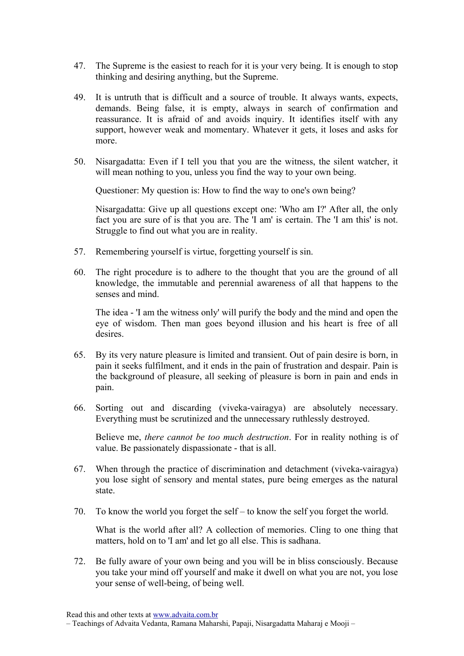- 47. The Supreme is the easiest to reach for it is your very being. It is enough to stop thinking and desiring anything, but the Supreme.
- 49. It is untruth that is difficult and a source of trouble. It always wants, expects, demands. Being false, it is empty, always in search of confirmation and reassurance. It is afraid of and avoids inquiry. It identifies itself with any support, however weak and momentary. Whatever it gets, it loses and asks for more.
- 50. Nisargadatta: Even if I tell you that you are the witness, the silent watcher, it will mean nothing to you, unless you find the way to your own being.

Questioner: My question is: How to find the way to one's own being?

Nisargadatta: Give up all questions except one: 'Who am I?' After all, the only fact you are sure of is that you are. The 'I am' is certain. The 'I am this' is not. Struggle to find out what you are in reality.

- 57. Remembering yourself is virtue, forgetting yourself is sin.
- 60. The right procedure is to adhere to the thought that you are the ground of all knowledge, the immutable and perennial awareness of all that happens to the senses and mind.

The idea - 'I am the witness only' will purify the body and the mind and open the eye of wisdom. Then man goes beyond illusion and his heart is free of all desires.

- 65. By its very nature pleasure is limited and transient. Out of pain desire is born, in pain it seeks fulfilment, and it ends in the pain of frustration and despair. Pain is the background of pleasure, all seeking of pleasure is born in pain and ends in pain.
- 66. Sorting out and discarding (viveka-vairagya) are absolutely necessary. Everything must be scrutinized and the unnecessary ruthlessly destroyed.

Believe me, *there cannot be too much destruction*. For in reality nothing is of value. Be passionately dispassionate - that is all.

- 67. When through the practice of discrimination and detachment (viveka-vairagya) you lose sight of sensory and mental states, pure being emerges as the natural state.
- 70. To know the world you forget the self to know the self you forget the world.

What is the world after all? A collection of memories. Cling to one thing that matters, hold on to 'I am' and let go all else. This is sadhana.

72. Be fully aware of your own being and you will be in bliss consciously. Because you take your mind off yourself and make it dwell on what you are not, you lose your sense of well-being, of being well.

<sup>–</sup> Teachings of Advaita Vedanta, Ramana Maharshi, Papaji, Nisargadatta Maharaj e Mooji –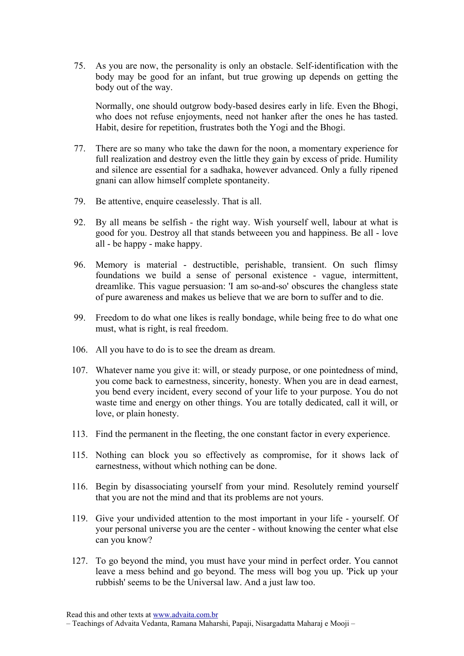75. As you are now, the personality is only an obstacle. Self-identification with the body may be good for an infant, but true growing up depends on getting the body out of the way.

Normally, one should outgrow body-based desires early in life. Even the Bhogi, who does not refuse enjoyments, need not hanker after the ones he has tasted. Habit, desire for repetition, frustrates both the Yogi and the Bhogi.

- 77. There are so many who take the dawn for the noon, a momentary experience for full realization and destroy even the little they gain by excess of pride. Humility and silence are essential for a sadhaka, however advanced. Only a fully ripened gnani can allow himself complete spontaneity.
- 79. Be attentive, enquire ceaselessly. That is all.
- 92. By all means be selfish the right way. Wish yourself well, labour at what is good for you. Destroy all that stands betweeen you and happiness. Be all - love all - be happy - make happy.
- 96. Memory is material destructible, perishable, transient. On such flimsy foundations we build a sense of personal existence - vague, intermittent, dreamlike. This vague persuasion: 'I am so-and-so' obscures the changless state of pure awareness and makes us believe that we are born to suffer and to die.
- 99. Freedom to do what one likes is really bondage, while being free to do what one must, what is right, is real freedom.
- 106. All you have to do is to see the dream as dream.
- 107. Whatever name you give it: will, or steady purpose, or one pointedness of mind, you come back to earnestness, sincerity, honesty. When you are in dead earnest, you bend every incident, every second of your life to your purpose. You do not waste time and energy on other things. You are totally dedicated, call it will, or love, or plain honesty.
- 113. Find the permanent in the fleeting, the one constant factor in every experience.
- 115. Nothing can block you so effectively as compromise, for it shows lack of earnestness, without which nothing can be done.
- 116. Begin by disassociating yourself from your mind. Resolutely remind yourself that you are not the mind and that its problems are not yours.
- 119. Give your undivided attention to the most important in your life yourself. Of your personal universe you are the center - without knowing the center what else can you know?
- 127. To go beyond the mind, you must have your mind in perfect order. You cannot leave a mess behind and go beyond. The mess will bog you up. 'Pick up your rubbish' seems to be the Universal law. And a just law too.

<sup>–</sup> Teachings of Advaita Vedanta, Ramana Maharshi, Papaji, Nisargadatta Maharaj e Mooji –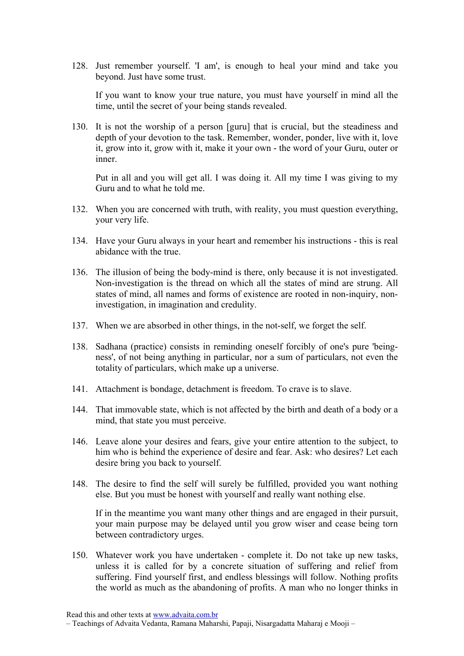128. Just remember yourself. 'I am', is enough to heal your mind and take you beyond. Just have some trust.

If you want to know your true nature, you must have yourself in mind all the time, until the secret of your being stands revealed.

130. It is not the worship of a person [guru] that is crucial, but the steadiness and depth of your devotion to the task. Remember, wonder, ponder, live with it, love it, grow into it, grow with it, make it your own - the word of your Guru, outer or inner.

Put in all and you will get all. I was doing it. All my time I was giving to my Guru and to what he told me.

- 132. When you are concerned with truth, with reality, you must question everything, your very life.
- 134. Have your Guru always in your heart and remember his instructions this is real abidance with the true.
- 136. The illusion of being the body-mind is there, only because it is not investigated. Non-investigation is the thread on which all the states of mind are strung. All states of mind, all names and forms of existence are rooted in non-inquiry, noninvestigation, in imagination and credulity.
- 137. When we are absorbed in other things, in the not-self, we forget the self.
- 138. Sadhana (practice) consists in reminding oneself forcibly of one's pure 'beingness', of not being anything in particular, nor a sum of particulars, not even the totality of particulars, which make up a universe.
- 141. Attachment is bondage, detachment is freedom. To crave is to slave.
- 144. That immovable state, which is not affected by the birth and death of a body or a mind, that state you must perceive.
- 146. Leave alone your desires and fears, give your entire attention to the subject, to him who is behind the experience of desire and fear. Ask: who desires? Let each desire bring you back to yourself.
- 148. The desire to find the self will surely be fulfilled, provided you want nothing else. But you must be honest with yourself and really want nothing else.

If in the meantime you want many other things and are engaged in their pursuit, your main purpose may be delayed until you grow wiser and cease being torn between contradictory urges.

150. Whatever work you have undertaken - complete it. Do not take up new tasks, unless it is called for by a concrete situation of suffering and relief from suffering. Find yourself first, and endless blessings will follow. Nothing profits the world as much as the abandoning of profits. A man who no longer thinks in

<sup>–</sup> Teachings of Advaita Vedanta, Ramana Maharshi, Papaji, Nisargadatta Maharaj e Mooji –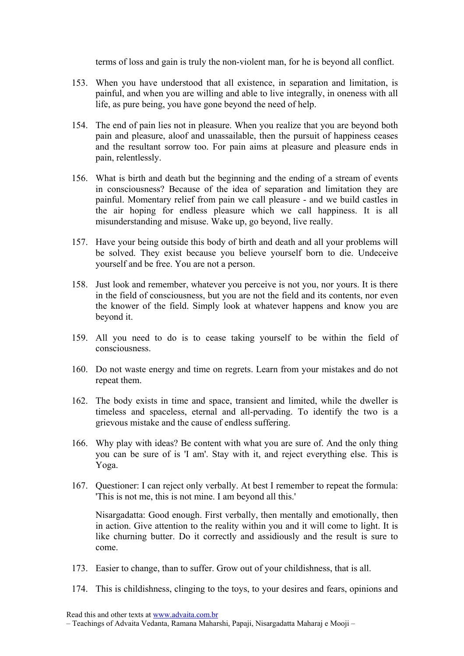terms of loss and gain is truly the non-violent man, for he is beyond all conflict.

- 153. When you have understood that all existence, in separation and limitation, is painful, and when you are willing and able to live integrally, in oneness with all life, as pure being, you have gone beyond the need of help.
- 154. The end of pain lies not in pleasure. When you realize that you are beyond both pain and pleasure, aloof and unassailable, then the pursuit of happiness ceases and the resultant sorrow too. For pain aims at pleasure and pleasure ends in pain, relentlessly.
- 156. What is birth and death but the beginning and the ending of a stream of events in consciousness? Because of the idea of separation and limitation they are painful. Momentary relief from pain we call pleasure - and we build castles in the air hoping for endless pleasure which we call happiness. It is all misunderstanding and misuse. Wake up, go beyond, live really.
- 157. Have your being outside this body of birth and death and all your problems will be solved. They exist because you believe yourself born to die. Undeceive yourself and be free. You are not a person.
- 158. Just look and remember, whatever you perceive is not you, nor yours. It is there in the field of consciousness, but you are not the field and its contents, nor even the knower of the field. Simply look at whatever happens and know you are beyond it.
- 159. All you need to do is to cease taking yourself to be within the field of consciousness.
- 160. Do not waste energy and time on regrets. Learn from your mistakes and do not repeat them.
- 162. The body exists in time and space, transient and limited, while the dweller is timeless and spaceless, eternal and all-pervading. To identify the two is a grievous mistake and the cause of endless suffering.
- 166. Why play with ideas? Be content with what you are sure of. And the only thing you can be sure of is 'I am'. Stay with it, and reject everything else. This is Yoga.
- 167. Questioner: I can reject only verbally. At best I remember to repeat the formula: 'This is not me, this is not mine. I am beyond all this.'

Nisargadatta: Good enough. First verbally, then mentally and emotionally, then in action. Give attention to the reality within you and it will come to light. It is like churning butter. Do it correctly and assidiously and the result is sure to come.

- 173. Easier to change, than to suffer. Grow out of your childishness, that is all.
- 174. This is childishness, clinging to the toys, to your desires and fears, opinions and

<sup>–</sup> Teachings of Advaita Vedanta, Ramana Maharshi, Papaji, Nisargadatta Maharaj e Mooji –